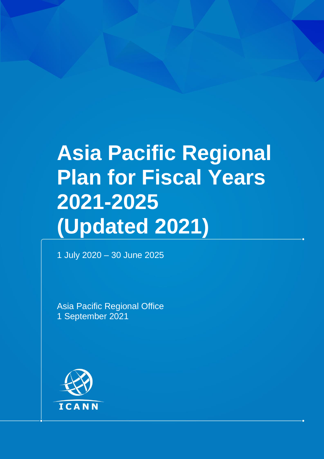## **Asia Pacific Regional Plan for Fiscal Years 2021-2025 (Updated 2021)**

1 July 2020 – 30 June 2025

Asia Pacific Regional Office 1 September 2021

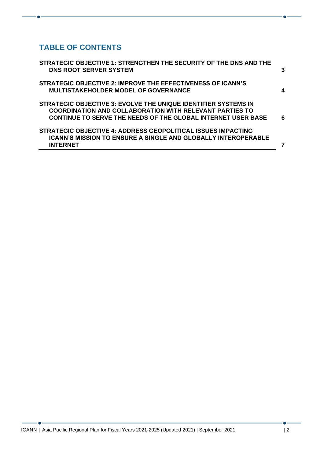## **TABLE OF CONTENTS**

| STRATEGIC OBJECTIVE 2: IMPROVE THE EFFECTIVENESS OF ICANN'S                                                                                                                                             | 3 |
|---------------------------------------------------------------------------------------------------------------------------------------------------------------------------------------------------------|---|
| <b>MULTISTAKEHOLDER MODEL OF GOVERNANCE</b>                                                                                                                                                             | 4 |
| STRATEGIC OBJECTIVE 3: EVOLVE THE UNIQUE IDENTIFIER SYSTEMS IN<br><b>COORDINATION AND COLLABORATION WITH RELEVANT PARTIES TO</b><br><b>CONTINUE TO SERVE THE NEEDS OF THE GLOBAL INTERNET USER BASE</b> | 6 |
| STRATEGIC OBJECTIVE 4: ADDRESS GEOPOLITICAL ISSUES IMPACTING<br><b>ICANN'S MISSION TO ENSURE A SINGLE AND GLOBALLY INTEROPERABLE</b><br><b>INTERNET</b>                                                 |   |

۰.

 $\bullet$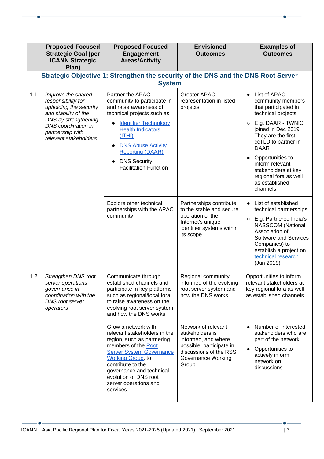|     | <b>Proposed Focused</b><br><b>Strategic Goal (per</b><br><b>ICANN Strategic</b><br>Plan)                                                                                               | <b>Proposed Focused</b><br><b>Engagement</b><br><b>Areas/Activity</b>                                                                                                                                                                                                                         | <b>Envisioned</b><br><b>Outcomes</b>                                                                                                               | <b>Examples of</b><br><b>Outcomes</b>                                                                                                                                                                                                                                                                                                |  |
|-----|----------------------------------------------------------------------------------------------------------------------------------------------------------------------------------------|-----------------------------------------------------------------------------------------------------------------------------------------------------------------------------------------------------------------------------------------------------------------------------------------------|----------------------------------------------------------------------------------------------------------------------------------------------------|--------------------------------------------------------------------------------------------------------------------------------------------------------------------------------------------------------------------------------------------------------------------------------------------------------------------------------------|--|
|     | Strategic Objective 1: Strengthen the security of the DNS and the DNS Root Server<br><b>System</b>                                                                                     |                                                                                                                                                                                                                                                                                               |                                                                                                                                                    |                                                                                                                                                                                                                                                                                                                                      |  |
| 1.1 | Improve the shared<br>responsibility for<br>upholding the security<br>and stability of the<br>DNS by strengthening<br>DNS coordination in<br>partnership with<br>relevant stakeholders | Partner the APAC<br>community to participate in<br>and raise awareness of<br>technical projects such as:<br><b>Identifier Technology</b><br><b>Health Indicators</b><br>(ITHI)<br><b>DNS Abuse Activity</b><br><b>Reporting (DAAR)</b><br><b>DNS Security</b><br><b>Facilitation Function</b> | <b>Greater APAC</b><br>representation in listed<br>projects                                                                                        | List of APAC<br>$\bullet$<br>community members<br>that participated in<br>technical projects<br>E.g. DAAR - TWNIC<br>$\circ$<br>joined in Dec 2019.<br>They are the first<br>ccTLD to partner in<br><b>DAAR</b><br>Opportunities to<br>inform relevant<br>stakeholders at key<br>regional fora as well<br>as established<br>channels |  |
|     |                                                                                                                                                                                        | Explore other technical<br>partnerships with the APAC<br>community                                                                                                                                                                                                                            | Partnerships contribute<br>to the stable and secure<br>operation of the<br>Internet's unique<br>identifier systems within<br>its scope             | List of established<br>$\bullet$<br>technical partnerships<br>E.g. Partnered India's<br>$\circ$<br>NASSCOM (National<br>Association of<br><b>Software and Services</b><br>Companies) to<br>establish a project on<br>technical research<br>(Jun 2019)                                                                                |  |
| 1.2 | <b>Strengthen DNS root</b><br>server operations<br>governance in<br>coordination with the<br><b>DNS</b> root server<br>operators                                                       | Communicate through<br>established channels and<br>participate in key platforms<br>such as regional/local fora<br>to raise awareness on the<br>evolving root server system<br>and how the DNS works                                                                                           | Regional community<br>informed of the evolving<br>root server system and<br>how the DNS works                                                      | Opportunities to inform<br>relevant stakeholders at<br>key regional fora as well<br>as established channels                                                                                                                                                                                                                          |  |
|     |                                                                                                                                                                                        | Grow a network with<br>relevant stakeholders in the<br>region, such as partnering<br>members of the Root<br><b>Server System Governance</b><br><b>Working Group, to</b><br>contribute to the<br>governance and technical<br>evolution of DNS root<br>server operations and<br>services        | Network of relevant<br>stakeholders is<br>informed, and where<br>possible, participate in<br>discussions of the RSS<br>Governance Working<br>Group | Number of interested<br>stakeholders who are<br>part of the network<br>Opportunities to<br>actively inform<br>network on<br>discussions                                                                                                                                                                                              |  |

 $\bullet$  -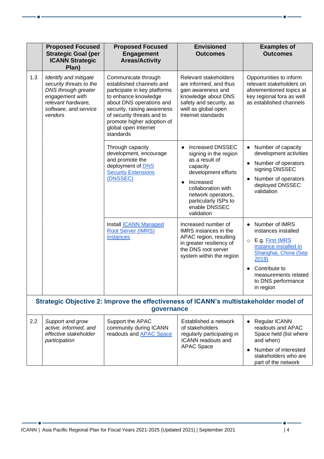|     | <b>Proposed Focused</b><br><b>Strategic Goal (per</b><br><b>ICANN Strategic</b><br>Plan)                                                             | <b>Proposed Focused</b><br><b>Engagement</b><br><b>Areas/Activity</b>                                                                                                                                                                                               | <b>Envisioned</b><br><b>Outcomes</b>                                                                                                                                                                                                            | <b>Examples of</b><br><b>Outcomes</b>                                                                                                                                                                                  |  |
|-----|------------------------------------------------------------------------------------------------------------------------------------------------------|---------------------------------------------------------------------------------------------------------------------------------------------------------------------------------------------------------------------------------------------------------------------|-------------------------------------------------------------------------------------------------------------------------------------------------------------------------------------------------------------------------------------------------|------------------------------------------------------------------------------------------------------------------------------------------------------------------------------------------------------------------------|--|
| 1.3 | Identify and mitigate<br>security threats to the<br>DNS through greater<br>engagement with<br>relevant hardware,<br>software, and service<br>vendors | Communicate through<br>established channels and<br>participate in key platforms<br>to enhance knowledge<br>about DNS operations and<br>security, raising awareness<br>of security threats and to<br>promote higher adoption of<br>global open Internet<br>standards | Relevant stakeholders<br>are informed, and thus<br>gain awareness and<br>knowledge about DNS<br>safety and security, as<br>well as global open<br>Internet standards                                                                            | Opportunities to inform<br>relevant stakeholders on<br>aforementioned topics at<br>key regional fora as well<br>as established channels                                                                                |  |
|     |                                                                                                                                                      | Through capacity<br>development, encourage<br>and promote the<br>deployment of <b>DNS</b><br><b>Security Extensions</b><br>(DNSSEC)                                                                                                                                 | <b>Increased DNSSEC</b><br>$\bullet$<br>signing in the region<br>as a result of<br>capacity<br>development efforts<br>Increased<br>$\bullet$<br>collaboration with<br>network operators,<br>particularly ISPs to<br>enable DNSSEC<br>validation | Number of capacity<br>development activities<br>Number of operators<br>signing DNSSEC<br>Number of operators<br>deployed DNSSEC<br>validation                                                                          |  |
|     |                                                                                                                                                      | Install <b>ICANN</b> Managed<br><b>Root Server (IMRS)</b><br><i>instances</i>                                                                                                                                                                                       | Increased number of<br>IMRS instances in the<br>APAC region, resulting<br>in greater resiliency of<br>the DNS root server<br>system within the region                                                                                           | Number of IMRS<br>$\bullet$<br>instances installed<br>E.g. First IMRS<br>$\circ$<br>instance installed in<br>Shanghai, China (Sep<br>2019)<br>Contribute to<br>measurements related<br>to DNS performance<br>in region |  |
|     | Strategic Objective 2: Improve the effectiveness of ICANN's multistakeholder model of<br>governance                                                  |                                                                                                                                                                                                                                                                     |                                                                                                                                                                                                                                                 |                                                                                                                                                                                                                        |  |
| 2.2 | Support and grow<br>active, informed, and<br>effective stakeholder<br>participation                                                                  | Support the APAC<br>community during ICANN<br>readouts and <b>APAC</b> Space                                                                                                                                                                                        | Established a network<br>of stakeholders<br>regularly participating in<br><b>ICANN</b> readouts and<br><b>APAC Space</b>                                                                                                                        | <b>Regular ICANN</b><br>readouts and APAC<br>Space held (list where<br>and when)<br>Number of interested<br>$\bullet$<br>stakeholders who are<br>part of the network                                                   |  |

 $\bullet$ 

part of the network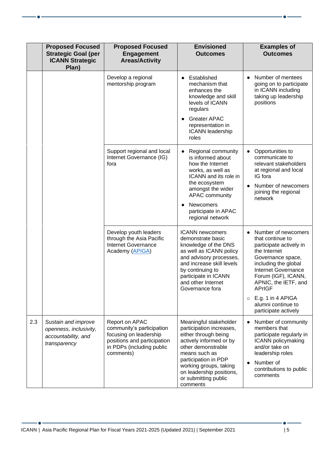|     | <b>Proposed Focused</b><br><b>Strategic Goal (per</b><br><b>ICANN Strategic</b><br>Plan) | <b>Proposed Focused</b><br><b>Engagement</b><br><b>Areas/Activity</b>                                                                          | <b>Envisioned</b><br><b>Outcomes</b>                                                                                                                                                                                                                           | <b>Examples of</b><br><b>Outcomes</b>                                                                                                                                                                                                                                                                             |
|-----|------------------------------------------------------------------------------------------|------------------------------------------------------------------------------------------------------------------------------------------------|----------------------------------------------------------------------------------------------------------------------------------------------------------------------------------------------------------------------------------------------------------------|-------------------------------------------------------------------------------------------------------------------------------------------------------------------------------------------------------------------------------------------------------------------------------------------------------------------|
|     |                                                                                          | Develop a regional<br>mentorship program                                                                                                       | Established<br>mechanism that<br>enhances the<br>knowledge and skill<br>levels of ICANN<br>regulars<br><b>Greater APAC</b><br>representation in<br><b>ICANN</b> leadership<br>roles                                                                            | Number of mentees<br>going on to participate<br>in ICANN including<br>taking up leadership<br>positions                                                                                                                                                                                                           |
|     |                                                                                          | Support regional and local<br>Internet Governance (IG)<br>fora                                                                                 | Regional community<br>is informed about<br>how the Internet<br>works, as well as<br>ICANN and its role in<br>the ecosystem<br>amongst the wider<br><b>APAC community</b><br>Newcomers<br>participate in APAC<br>regional network                               | Opportunities to<br>$\bullet$<br>communicate to<br>relevant stakeholders<br>at regional and local<br>IG fora<br>Number of newcomers<br>joining the regional<br>network                                                                                                                                            |
|     |                                                                                          | Develop youth leaders<br>through the Asia Pacific<br><b>Internet Governance</b><br>Academy (APIGA)                                             | <b>ICANN</b> newcomers<br>demonstrate basic<br>knowledge of the DNS<br>as well as ICANN policy<br>and advisory processes,<br>and increase skill levels<br>by continuing to<br>participate in ICANN<br>and other Internet<br>Governance fora                    | Number of newcomers<br>$\bullet$<br>that continue to<br>participate actively in<br>the Internet<br>Governance space,<br>including the global<br>Internet Governance<br>Forum (IGF), ICANN,<br>APNIC, the IETF, and<br><b>APrIGF</b><br>E.g. 1 in 4 APIGA<br>$\circ$<br>alumni continue to<br>participate actively |
| 2.3 | Sustain and improve<br>openness, inclusivity,<br>accountability, and<br>transparency     | Report on APAC<br>community's participation<br>focusing on leadership<br>positions and participation<br>in PDPs (including public<br>comments) | Meaningful stakeholder<br>participation increases,<br>either through being<br>actively informed or by<br>other demonstrable<br>means such as<br>participation in PDP<br>working groups, taking<br>on leadership positions,<br>or submitting public<br>comments | Number of community<br>members that<br>participate regularly in<br><b>ICANN</b> policymaking<br>and/or take on<br>leadership roles<br>Number of<br>contributions to public<br>comments                                                                                                                            |

 $\bullet$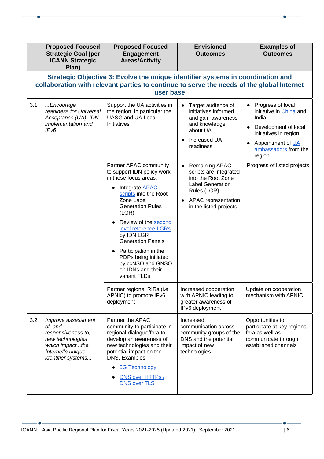|     | <b>Proposed Focused</b><br><b>Strategic Goal (per</b><br><b>ICANN Strategic</b><br>Plan)                                                                                                  | <b>Proposed Focused</b><br><b>Engagement</b><br><b>Areas/Activity</b>                                                                                                                                                                                                                                                                                                                 | <b>Envisioned</b><br><b>Outcomes</b>                                                                                                                                          | <b>Examples of</b><br><b>Outcomes</b>                                                                                                                                         |  |
|-----|-------------------------------------------------------------------------------------------------------------------------------------------------------------------------------------------|---------------------------------------------------------------------------------------------------------------------------------------------------------------------------------------------------------------------------------------------------------------------------------------------------------------------------------------------------------------------------------------|-------------------------------------------------------------------------------------------------------------------------------------------------------------------------------|-------------------------------------------------------------------------------------------------------------------------------------------------------------------------------|--|
|     | Strategic Objective 3: Evolve the unique identifier systems in coordination and<br>collaboration with relevant parties to continue to serve the needs of the global Internet<br>user base |                                                                                                                                                                                                                                                                                                                                                                                       |                                                                                                                                                                               |                                                                                                                                                                               |  |
| 3.1 | Encourage<br>readiness for Universal<br>Acceptance (UA), IDN<br>implementation and<br>IPv6                                                                                                | Support the UA activities in<br>the region, in particular the<br><b>UASG and UA Local</b><br>Initiatives                                                                                                                                                                                                                                                                              | Target audience of<br>initiatives informed<br>and gain awareness<br>and knowledge<br>about UA<br>Increased UA<br>readiness                                                    | • Progress of local<br>initiative in <i>China</i> and<br>India<br>Development of local<br>initiatives in region<br>Appointment of <b>UA</b><br>ambassadors from the<br>region |  |
|     |                                                                                                                                                                                           | Partner APAC community<br>to support IDN policy work<br>in these focus areas:<br>Integrate <b>APAC</b><br>scripts into the Root<br>Zone Label<br><b>Generation Rules</b><br>(LGR)<br>Review of the second<br>level reference LGRs<br>by IDN LGR<br><b>Generation Panels</b><br>Participation in the<br>PDPs being initiated<br>by ccNSO and GNSO<br>on IDNs and their<br>variant TLDs | Remaining APAC<br>$\bullet$<br>scripts are integrated<br>into the Root Zone<br><b>Label Generation</b><br>Rules (LGR)<br><b>APAC</b> representation<br>in the listed projects | Progress of listed projects                                                                                                                                                   |  |
|     |                                                                                                                                                                                           | Partner regional RIRs (i.e.<br>APNIC) to promote IPv6<br>deployment                                                                                                                                                                                                                                                                                                                   | Increased cooperation<br>with APNIC leading to<br>greater awareness of<br>IPv6 deployment                                                                                     | Update on cooperation<br>mechanism with APNIC                                                                                                                                 |  |
| 3.2 | Improve assessment<br>of, and<br>responsiveness to,<br>new technologies<br>which impactthe<br>Internet's unique<br>identifier systems                                                     | Partner the APAC<br>community to participate in<br>regional dialogue/fora to<br>develop an awareness of<br>new technologies and their<br>potential impact on the<br>DNS. Examples:<br><b>5G Technology</b><br>DNS over HTTPs /<br><b>DNS over TLS</b>                                                                                                                                 | Increased<br>communication across<br>community groups of the<br>DNS and the potential<br>impact of new<br>technologies                                                        | Opportunities to<br>participate at key regional<br>fora as well as<br>communicate through<br>established channels                                                             |  |

 $\bullet$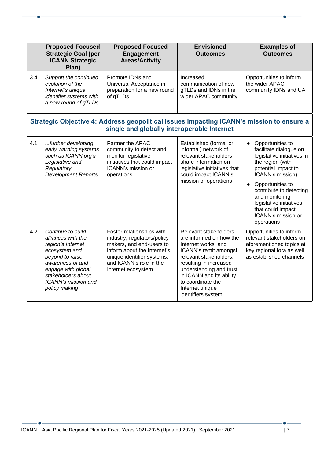|     | <b>Proposed Focused</b><br><b>Strategic Goal (per</b><br><b>ICANN Strategic</b><br>Plan)                                                                                                                 | <b>Proposed Focused</b><br><b>Engagement</b><br><b>Areas/Activity</b>                                                                                                                              | <b>Envisioned</b><br><b>Outcomes</b>                                                                                                                                                                                                                                      | <b>Examples of</b><br><b>Outcomes</b>                                                                                                                                                                                                                                                                     |  |
|-----|----------------------------------------------------------------------------------------------------------------------------------------------------------------------------------------------------------|----------------------------------------------------------------------------------------------------------------------------------------------------------------------------------------------------|---------------------------------------------------------------------------------------------------------------------------------------------------------------------------------------------------------------------------------------------------------------------------|-----------------------------------------------------------------------------------------------------------------------------------------------------------------------------------------------------------------------------------------------------------------------------------------------------------|--|
| 3.4 | Support the continued<br>evolution of the<br>Internet's unique<br>identifier systems with<br>a new round of gTLDs                                                                                        | Promote IDNs and<br>Universal Acceptance in<br>preparation for a new round<br>of gTLDs                                                                                                             | Increased<br>communication of new<br>gTLDs and IDNs in the<br>wider APAC community                                                                                                                                                                                        | Opportunities to inform<br>the wider APAC<br>community IDNs and UA                                                                                                                                                                                                                                        |  |
|     | Strategic Objective 4: Address geopolitical issues impacting ICANN's mission to ensure a<br>single and globally interoperable Internet                                                                   |                                                                                                                                                                                                    |                                                                                                                                                                                                                                                                           |                                                                                                                                                                                                                                                                                                           |  |
| 4.1 | further developing<br>early warning systems<br>such as ICANN org's<br>Legislative and<br>Regulatory<br><b>Development Reports</b>                                                                        | Partner the APAC<br>community to detect and<br>monitor legislative<br>initiatives that could impact<br>ICANN's mission or<br>operations                                                            | Established (formal or<br>informal) network of<br>relevant stakeholders<br>share information on<br>legislative initiatives that<br>could impact ICANN's<br>mission or operations                                                                                          | Opportunities to<br>$\bullet$<br>facilitate dialogue on<br>legislative initiatives in<br>the region (with<br>potential impact to<br>ICANN's mission)<br>Opportunities to<br>contribute to detecting<br>and monitoring<br>legislative initiatives<br>that could impact<br>ICANN's mission or<br>operations |  |
| 4.2 | Continue to build<br>alliances with the<br>region's Internet<br>ecosystem and<br>beyond to raise<br>awareness of and<br>engage with global<br>stakeholders about<br>ICANN's mission and<br>policy making | Foster relationships with<br>industry, regulators/policy<br>makers, and end-users to<br>inform about the Internet's<br>unique identifier systems,<br>and ICANN's role in the<br>Internet ecosystem | Relevant stakeholders<br>are informed on how the<br>Internet works, and<br>ICANN's remit amongst<br>relevant stakeholders,<br>resulting in increased<br>understanding and trust<br>in ICANN and its ability<br>to coordinate the<br>Internet unique<br>identifiers system | Opportunities to inform<br>relevant stakeholders on<br>aforementioned topics at<br>key regional fora as well<br>as established channels                                                                                                                                                                   |  |

 $\bullet$  -